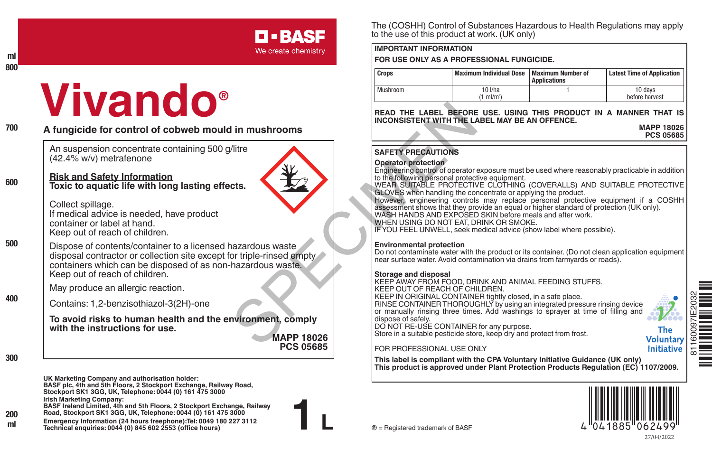## **D-BASF**

We create chemistry

#### **ml 800**

# **Vivando®**

**600**

**500**

**400**

#### **A fungicide for control of cobweb mould in mushrooms**

An suspension concentrate containing 500 g/litre (42.4% w/v) metrafenone

### **Risk and Safety Information**

**Toxic to aquatic life with long lasting effects.**

Collect spillage. If medical advice is needed, have product container or label at hand. Keep out of reach of children.

Dispose of contents/container to a licensed hazardous waste disposal contractor or collection site except for triple-rinsed empty containers which can be disposed of as non-hazardous waste. Keep out of reach of children.

May produce an allergic reaction.

Contains: 1,2-benzisothiazol-3(2H)-one

**To avoid risks to human health and the environment, comply with the instructions for use.**

**MAPP 18026 PCS 05685**

**1 L**

**300**

**200**

**UK Marketing Company and authorisation holder: BASF plc, 4th and 5th Floors, 2 Stockport Exchange, Railway Road, Stockport SK1 3GG, UK, Telephone: 0044 (0) 161 475 3000 Irish Marketing Company:**

**BASF Ireland Limited, 4th and 5th Floors, 2 Stockport Exchange, Railway Road, Stockport SK1 3GG, UK, Telephone: 0044 (0) 161 475 3000**

**Emergency Information (24 hours freephone):Tel: 0049 180 227 3112 Technical enquiries: 0044 (0) 845 602 2553 (office hours) ml** ® = Registered trademark of BASF

The (COSHH) Control of Substances Hazardous to Health Regulations may apply to the use of this product at work. (UK only)

#### **IMPORTANT INFORMATION**

**FOR USE ONLY AS A PROFESSIONAL FUNGICIDE.**

| <b>Crops</b> | Maximum Individual Dose   Maximum Number of | <b>Applications</b> | <b>Latest Time of Application</b> |
|--------------|---------------------------------------------|---------------------|-----------------------------------|
| Mushroom     | 10 I/ha<br>ml/m <sup>2</sup>                |                     | 10 days<br>before harvest         |

**READ THE LABEL BEFORE USE. USING THIS PRODUCT IN A MANNER THAT IS INCONSISTENT WITH THE LABEL MAY BE AN OFFENCE.**

**MAPP 18026 PCS 05685**

#### **SAFETY PRECAUTIONS**

#### **Operator protection**

Engineering control of operator exposure must be used where reasonably practicable in addition to the following personal protective equipment.

WEAR SUITABLE PROTECTIVE CLOTHING (COVERALLS) AND SUITABLE PROTECTIVE GLOVES when handling the concentrate or applying the product.

However, engineering controls may replace personal protective equipment if a COSHH assessment shows that they provide an equal or higher standard of protection (UK only). WASH HANDS AND EXPOSED SKIN before meals and after work.

WHEN USING DO NOT EAT, DRINK OR SMOKE.

IF YOU FEEL UNWELL, seek medical advice (show label where possible).

#### **Environmental protection**

Do not contaminate water with the product or its container. (Do not clean application equipment near surface water. Avoid contamination via drains from farmyards or roads).

**Storage and disposal** KEEP AWAY FROM FOOD, DRINK AND ANIMAL FEEDING STUFFS. KEEP OUT OF REACH OF CHILDREN. KEEP IN ORIGINAL CONTAINER tightly closed, in a safe place. RINSE CONTAINER THOROUGHLY by using an integrated pressure rinsing device or manually rinsing three times. Add washings to sprayer at time of filling and<br>dispose of safely. dispose of safely. DO NOT RE-USE CONTAINER for any purpose. FRAD THE LABEL BEFORE<br>
INCONSISTENT WITH THE LABEL BEFORE<br>
MCONSISTENT WITH THE LABEL BEFORE<br>
MCONSISTENT WITH THE LABEL BEFORE<br>
SAFETY PRECAUTIONS<br>
SPECIME SURVEY (FOUR-BISING DO NOT EAT, DISPUTED THANGED AND SAME INVENTI

Store in a suitable pesticide store, keep dry and protect from frost.

FOR PROFESSIONAL USE ONLY

**This label is compliant with the CPA Voluntary Initiative Guidance (UK only) This product is approved under Plant Protection Products Regulation (EC) 1107/2009.**





**The Voluntary** Initiative

Ò<br>Diamaigh 81160097IE2032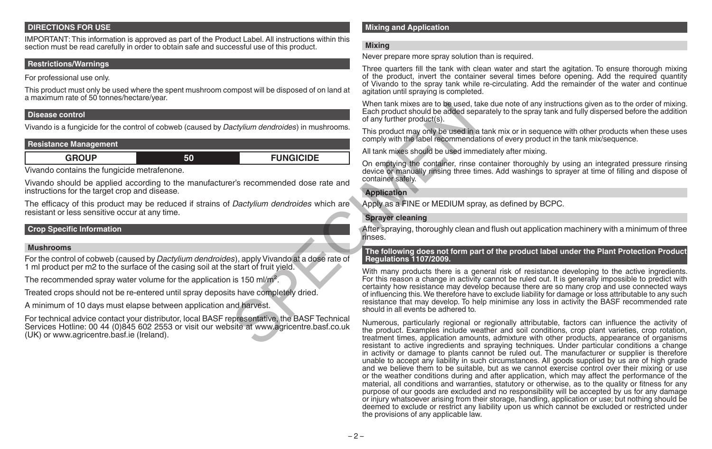#### **DIRECTIONS FOR USE**

IMPORTANT: This information is approved as part of the Product Label. All instructions within this section must be read carefully in order to obtain safe and successful use of this product.

#### **Restrictions/Warnings**

For professional use only.

This product must only be used where the spent mushroom compost will be disposed of on land at a maximum rate of 50 tonnes/hectare/year.

#### **Disease control**

Vivando is a fungicide for the control of cobweb (caused by *Dactylium dendroides*) in mushrooms.

#### **Resistance Management**

| ____ | . . | $- - - - -$<br>′''∽<br>________ |
|------|-----|---------------------------------|
|      |     |                                 |

Vivando contains the fungicide metrafenone.

Vivando should be applied according to the manufacturer's recommended dose rate and instructions for the target crop and disease.

The efficacy of this product may be reduced if strains of *Dactylium dendroides* which are resistant or less sensitive occur at any time.

#### **Crop Specific Information**

#### **Mushrooms**

For the control of cobweb (caused by *Dactylium dendroides*), apply Vivando at a dose rate of 1 ml product per m2 to the surface of the casing soil at the start of fruit yield.

The recommended spray water volume for the application is 150 ml/m<sup>2</sup>.

Treated crops should not be re-entered until spray deposits have completely dried.

A minimum of 10 days must elapse between application and harvest.

For technical advice contact your distributor, local BASF representative, the BASF Technical Services Hotline: 00 44 (0)845 602 2553 or visit our website at www.agricentre.basf.co.uk (UK) or www.agricentre.basf.ie (Ireland).

#### **Mixing and Application**

#### **Mixing**

Never prepare more spray solution than is required.

Three quarters fill the tank with clean water and start the agitation. To ensure thorough mixing of the product, invert the container several times before opening. Add the required quantity of Vivando to the spray tank while re-circulating. Add the remainder of the water and continue agitation until spraying is completed.

When tank mixes are to be used, take due note of any instructions given as to the order of mixing. Each product should be added separately to the spray tank and fully dispersed before the addition of any further product(s).

This product may only be used in a tank mix or in sequence with other products when these uses comply with the label recommendations of every product in the tank mix/sequence.

All tank mixes should be used immediately after mixing.

On emptying the container, rinse container thoroughly by using an integrated pressure rinsing device or manually rinsing three times. Add washings to sprayer at time of filling and dispose of container safely.

#### **Application**

Apply as a FINE or MEDIUM spray, as defined by BCPC.

#### **Sprayer cleaning**

After spraying, thoroughly clean and flush out application machinery with a minimum of three rinses.

#### **The following does not form part of the product label under the Plant Protection Product Regulations 1107/2009.**

With many products there is a general risk of resistance developing to the active ingredients. For this reason a change in activity cannot be ruled out. It is generally impossible to predict with certainty how resistance may develop because there are so many crop and use connected ways of influencing this. We therefore have to exclude liability for damage or loss attributable to any such resistance that may develop. To help minimise any loss in activity the BASF recommended rate should in all events be adhered to. When tank mixes are to be used, to<br>actylium dendroides) in mushrooms.<br>
This product may only be used in a<br>
of any further product should be added sep<br>
of any further product may only be used in a<br>
All tank mixes should be

Numerous, particularly regional or regionally attributable, factors can influence the activity of the product. Examples include weather and soil conditions, crop plant varieties, crop rotation, treatment times, application amounts, admixture with other products, appearance of organisms resistant to active ingredients and spraying techniques. Under particular conditions a change in activity or damage to plants cannot be ruled out. The manufacturer or supplier is therefore unable to accept any liability in such circumstances. All goods supplied by us are of high grade and we believe them to be suitable, but as we cannot exercise control over their mixing or use or the weather conditions during and after application, which may affect the performance of the material, all conditions and warranties, statutory or otherwise, as to the quality or fitness for any purpose of our goods are excluded and no responsibility will be accepted by us for any damage or injury whatsoever arising from their storage, handling, application or use; but nothing should be deemed to exclude or restrict any liability upon us which cannot be excluded or restricted under the provisions of any applicable law.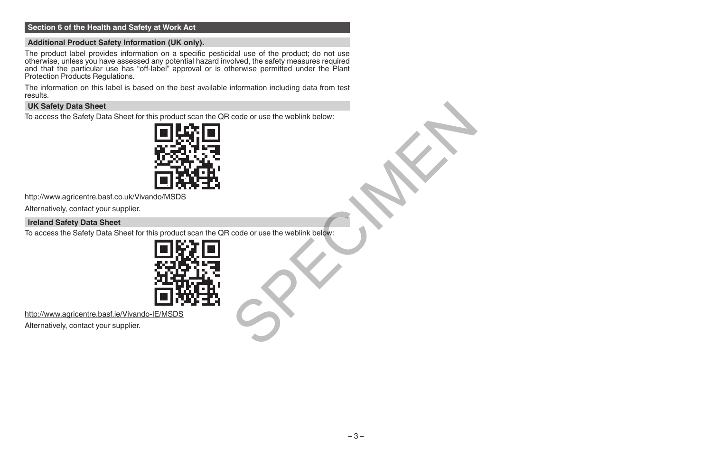#### **Section 6 of the Health and Safety at Work Act**

#### **Additional Product Safety Information (UK only).**

The product label provides information on a specific pesticidal use of the product; do not use<br>otherwise, unless you have assessed any potential hazard involved, the safety measures required<br>and that the particular use has Protection Products Regulations.

The information on this label is based on the best available information including data from test results.

#### **UK Safety Data Sheet**

To access the Safety Data Sheet for this product scan the QR code or use the weblink below:



http://www.agricentre.basf.co.uk/Vivando/MSDS

Alternatively, contact your supplier.

#### **Ireland Safety Data Sheet**

To access the Safety Data Sheet for this product scan the QR code or use the weblink below: code or use the weblink below:<br>Code or use the weblink below:<br>Code or use the weblink below:



http://www.agricentre.basf.ie/Vivando-IE/MSDS

Alternatively, contact your supplier.